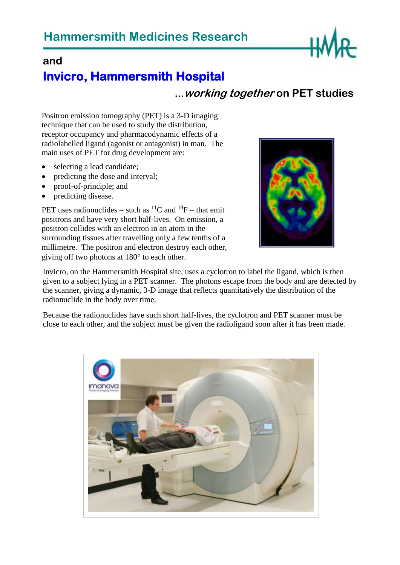

## **and**

# **Invicro, Hammersmith Hospital**

## **…working together on PET studies**

Positron emission tomography (PET) is a 3-D imaging technique that can be used to study the distribution, receptor occupancy and pharmacodynamic effects of a radiolabelled ligand (agonist or antagonist) in man. The main uses of PET for drug development are:

- selecting a lead candidate;
- predicting the dose and interval;
- proof-of-principle; and
- predicting disease.

PET uses radionuclides – such as  ${}^{11}C$  and  ${}^{18}F$  – that emit positrons and have very short half-lives. On emission, a positron collides with an electron in an atom in the surrounding tissues after travelling only a few tenths of a millimetre. The positron and electron destroy each other, giving off two photons at  $180^\circ$  to each other.



Invicro, on the Hammersmith Hospital site, uses a cyclotron to label the ligand, which is then given to a subject lying in a PET scanner. The photons escape from the body and are detected by the scanner, giving a dynamic, 3-D image that reflects quantitatively the distribution of the radionuclide in the body over time.

Because the radionuclides have such short half-lives, the cyclotron and PET scanner must be close to each other, and the subject must be given the radioligand soon after it has been made.